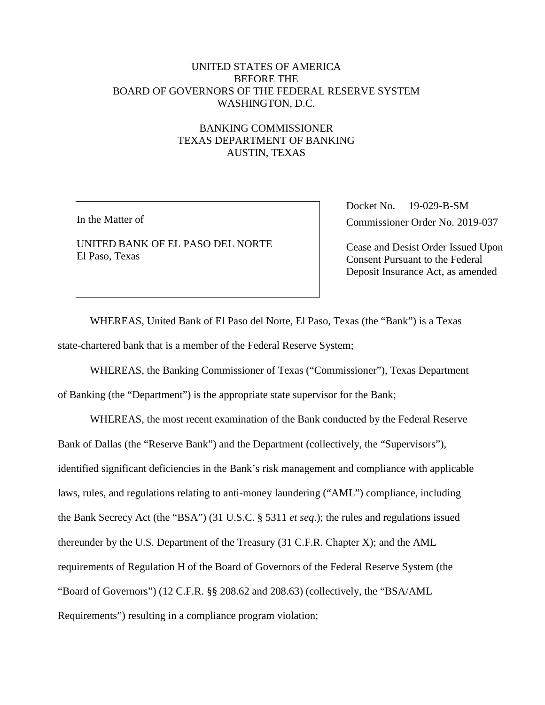## UNITED STATES OF AMERICA BEFORE THE BOARD OF GOVERNORS OF THE FEDERAL RESERVE SYSTEM WASHINGTON, D.C.

# BANKING COMMISSIONER TEXAS DEPARTMENT OF BANKING AUSTIN, TEXAS

In the Matter of

UNITED BANK OF EL PASO DEL NORTE El Paso, Texas

Docket No. 19-029-B-SM Commissioner Order No. 2019-037

Cease and Desist Order Issued Upon Consent Pursuant to the Federal Deposit Insurance Act, as amended

WHEREAS, United Bank of El Paso del Norte, El Paso, Texas (the "Bank") is a Texas state-chartered bank that is a member of the Federal Reserve System;

WHEREAS, the Banking Commissioner of Texas ("Commissioner"), Texas Department

of Banking (the "Department") is the appropriate state supervisor for the Bank;

WHEREAS, the most recent examination of the Bank conducted by the Federal Reserve Bank of Dallas (the "Reserve Bank") and the Department (collectively, the "Supervisors"), identified significant deficiencies in the Bank's risk management and compliance with applicable laws, rules, and regulations relating to anti-money laundering ("AML") compliance, including the Bank Secrecy Act (the "BSA") (31 U.S.C. § 5311 *et seq*.); the rules and regulations issued thereunder by the U.S. Department of the Treasury (31 C.F.R. Chapter X); and the AML requirements of Regulation H of the Board of Governors of the Federal Reserve System (the "Board of Governors") (12 C.F.R. §§ 208.62 and 208.63) (collectively, the "BSA/AML Requirements") resulting in a compliance program violation;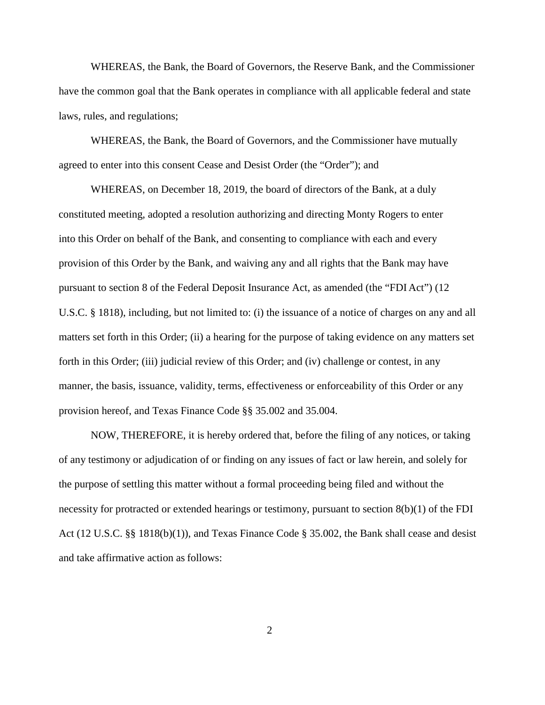WHEREAS, the Bank, the Board of Governors, the Reserve Bank, and the Commissioner have the common goal that the Bank operates in compliance with all applicable federal and state laws, rules, and regulations;

WHEREAS, the Bank, the Board of Governors, and the Commissioner have mutually agreed to enter into this consent Cease and Desist Order (the "Order"); and

WHEREAS, on December 18, 2019, the board of directors of the Bank, at a duly constituted meeting, adopted a resolution authorizing and directing Monty Rogers to enter into this Order on behalf of the Bank, and consenting to compliance with each and every provision of this Order by the Bank, and waiving any and all rights that the Bank may have pursuant to section 8 of the Federal Deposit Insurance Act, as amended (the "FDI Act") (12 U.S.C. § 1818), including, but not limited to: (i) the issuance of a notice of charges on any and all matters set forth in this Order; (ii) a hearing for the purpose of taking evidence on any matters set forth in this Order; (iii) judicial review of this Order; and (iv) challenge or contest, in any manner, the basis, issuance, validity, terms, effectiveness or enforceability of this Order or any provision hereof, and Texas Finance Code §§ 35.002 and 35.004.

NOW, THEREFORE, it is hereby ordered that, before the filing of any notices, or taking of any testimony or adjudication of or finding on any issues of fact or law herein, and solely for the purpose of settling this matter without a formal proceeding being filed and without the necessity for protracted or extended hearings or testimony, pursuant to section 8(b)(1) of the FDI Act (12 U.S.C. §§ 1818(b)(1)), and Texas Finance Code § 35.002, the Bank shall cease and desist and take affirmative action as follows:

2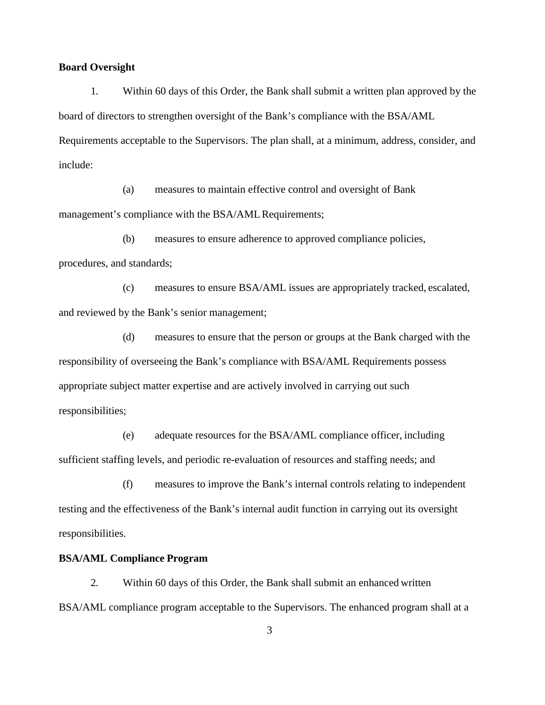#### **Board Oversight**

1. Within 60 days of this Order, the Bank shall submit a written plan approved by the board of directors to strengthen oversight of the Bank's compliance with the BSA/AML Requirements acceptable to the Supervisors. The plan shall, at a minimum, address, consider, and include:

(a) measures to maintain effective control and oversight of Bank management's compliance with the BSA/AML Requirements;

(b) measures to ensure adherence to approved compliance policies, procedures, and standards;

(c) measures to ensure BSA/AML issues are appropriately tracked, escalated, and reviewed by the Bank's senior management;

(d) measures to ensure that the person or groups at the Bank charged with the responsibility of overseeing the Bank's compliance with BSA/AML Requirements possess appropriate subject matter expertise and are actively involved in carrying out such responsibilities;

(e) adequate resources for the BSA/AML compliance officer, including sufficient staffing levels, and periodic re-evaluation of resources and staffing needs; and

(f) measures to improve the Bank's internal controls relating to independent testing and the effectiveness of the Bank's internal audit function in carrying out its oversight responsibilities.

## **BSA/AML Compliance Program**

2. Within 60 days of this Order, the Bank shall submit an enhanced written BSA/AML compliance program acceptable to the Supervisors. The enhanced program shall at a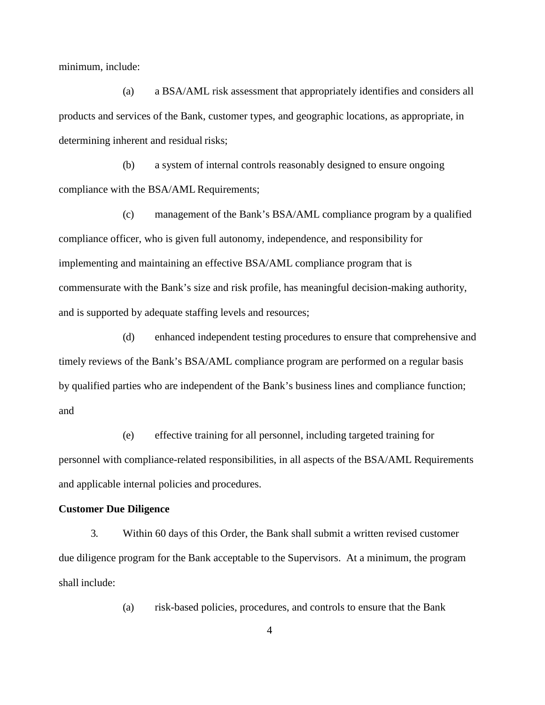minimum, include:

(a) a BSA/AML risk assessment that appropriately identifies and considers all products and services of the Bank, customer types, and geographic locations, as appropriate, in determining inherent and residual risks;

(b) a system of internal controls reasonably designed to ensure ongoing compliance with the BSA/AML Requirements;

(c) management of the Bank's BSA/AML compliance program by a qualified compliance officer, who is given full autonomy, independence, and responsibility for implementing and maintaining an effective BSA/AML compliance program that is commensurate with the Bank's size and risk profile, has meaningful decision-making authority, and is supported by adequate staffing levels and resources;

(d) enhanced independent testing procedures to ensure that comprehensive and timely reviews of the Bank's BSA/AML compliance program are performed on a regular basis by qualified parties who are independent of the Bank's business lines and compliance function; and

(e) effective training for all personnel, including targeted training for personnel with compliance-related responsibilities, in all aspects of the BSA/AML Requirements and applicable internal policies and procedures.

### **Customer Due Diligence**

3. Within 60 days of this Order, the Bank shall submit a written revised customer due diligence program for the Bank acceptable to the Supervisors. At a minimum, the program shall include:

(a) risk-based policies, procedures, and controls to ensure that the Bank

4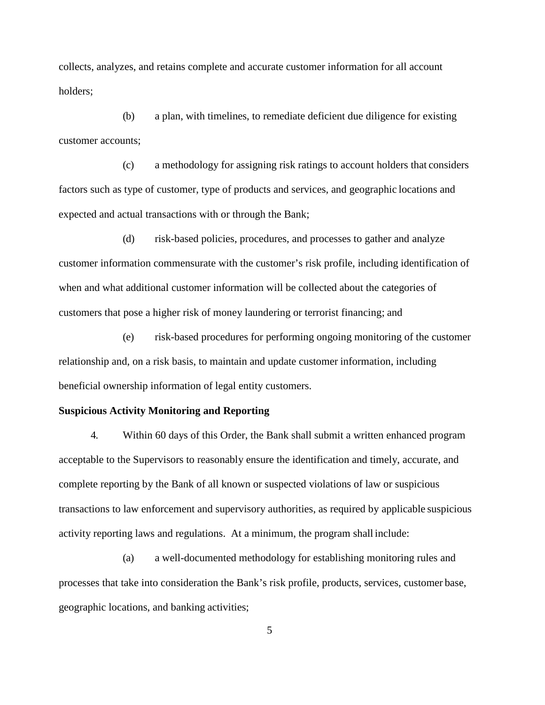collects, analyzes, and retains complete and accurate customer information for all account holders;

(b) a plan, with timelines, to remediate deficient due diligence for existing customer accounts;

(c) a methodology for assigning risk ratings to account holders that considers factors such as type of customer, type of products and services, and geographic locations and expected and actual transactions with or through the Bank;

(d) risk-based policies, procedures, and processes to gather and analyze customer information commensurate with the customer's risk profile, including identification of when and what additional customer information will be collected about the categories of customers that pose a higher risk of money laundering or terrorist financing; and

(e) risk-based procedures for performing ongoing monitoring of the customer relationship and, on a risk basis, to maintain and update customer information, including beneficial ownership information of legal entity customers.

### **Suspicious Activity Monitoring and Reporting**

4. Within 60 days of this Order, the Bank shall submit a written enhanced program acceptable to the Supervisors to reasonably ensure the identification and timely, accurate, and complete reporting by the Bank of all known or suspected violations of law or suspicious transactions to law enforcement and supervisory authorities, as required by applicable suspicious activity reporting laws and regulations. At a minimum, the program shall include:

(a) a well-documented methodology for establishing monitoring rules and processes that take into consideration the Bank's risk profile, products, services, customer base, geographic locations, and banking activities;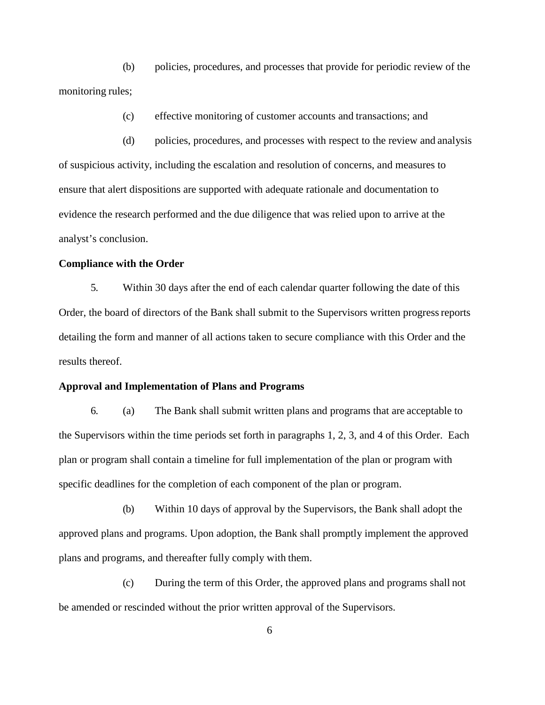(b) policies, procedures, and processes that provide for periodic review of the monitoring rules;

(c) effective monitoring of customer accounts and transactions; and

(d) policies, procedures, and processes with respect to the review and analysis of suspicious activity, including the escalation and resolution of concerns, and measures to ensure that alert dispositions are supported with adequate rationale and documentation to evidence the research performed and the due diligence that was relied upon to arrive at the analyst's conclusion.

#### **Compliance with the Order**

5. Within 30 days after the end of each calendar quarter following the date of this Order, the board of directors of the Bank shall submit to the Supervisors written progressreports detailing the form and manner of all actions taken to secure compliance with this Order and the results thereof.

#### **Approval and Implementation of Plans and Programs**

6. (a) The Bank shall submit written plans and programs that are acceptable to the Supervisors within the time periods set forth in paragraphs 1, 2, 3, and 4 of this Order. Each plan or program shall contain a timeline for full implementation of the plan or program with specific deadlines for the completion of each component of the plan or program.

(b) Within 10 days of approval by the Supervisors, the Bank shall adopt the approved plans and programs. Upon adoption, the Bank shall promptly implement the approved plans and programs, and thereafter fully comply with them.

(c) During the term of this Order, the approved plans and programs shall not be amended or rescinded without the prior written approval of the Supervisors.

6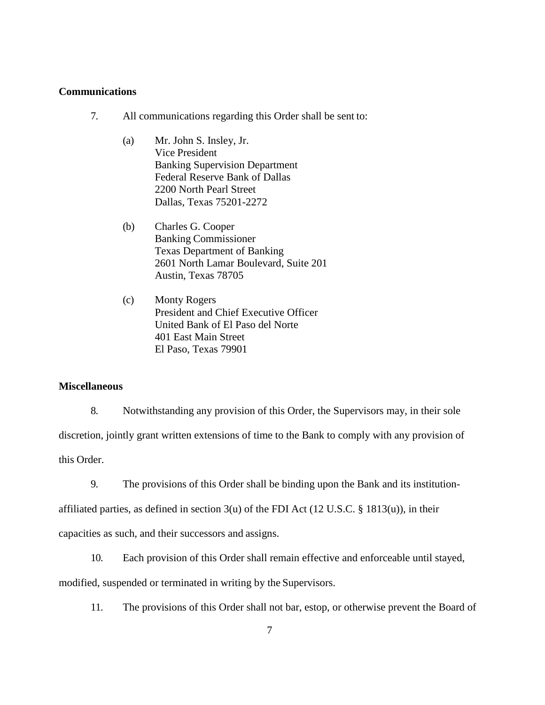#### **Communications**

- 7. All communications regarding this Order shall be sent to:
	- (a) Mr. John S. Insley, Jr. Vice President Banking Supervision Department Federal Reserve Bank of Dallas 2200 North Pearl Street Dallas, Texas 75201-2272
	- (b) Charles G. Cooper Banking Commissioner Texas Department of Banking 2601 North Lamar Boulevard, Suite 201 Austin, Texas 78705
	- (c) Monty Rogers President and Chief Executive Officer United Bank of El Paso del Norte 401 East Main Street El Paso, Texas 79901

#### **Miscellaneous**

8. Notwithstanding any provision of this Order, the Supervisors may, in their sole discretion, jointly grant written extensions of time to the Bank to comply with any provision of this Order.

9. The provisions of this Order shall be binding upon the Bank and its institution-

affiliated parties, as defined in section  $3(u)$  of the FDI Act (12 U.S.C. § 1813(u)), in their

capacities as such, and their successors and assigns.

10. Each provision of this Order shall remain effective and enforceable until stayed,

modified, suspended or terminated in writing by the Supervisors.

11. The provisions of this Order shall not bar, estop, or otherwise prevent the Board of